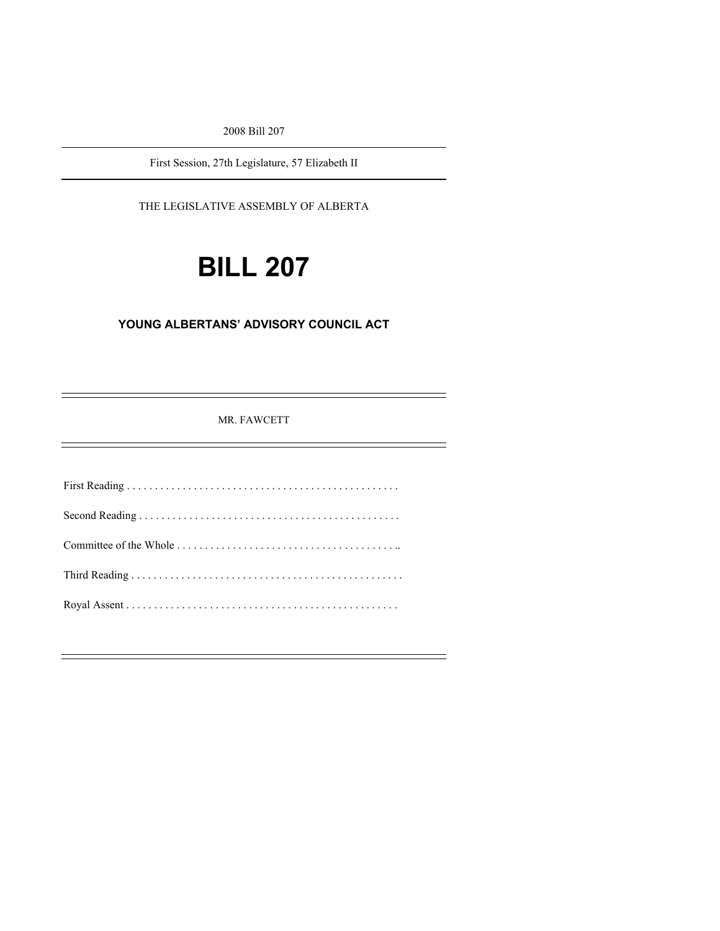2008 Bill 207

First Session, 27th Legislature, 57 Elizabeth II

THE LEGISLATIVE ASSEMBLY OF ALBERTA

# **BILL 207**

## **YOUNG ALBERTANS' ADVISORY COUNCIL ACT**

MR. FAWCETT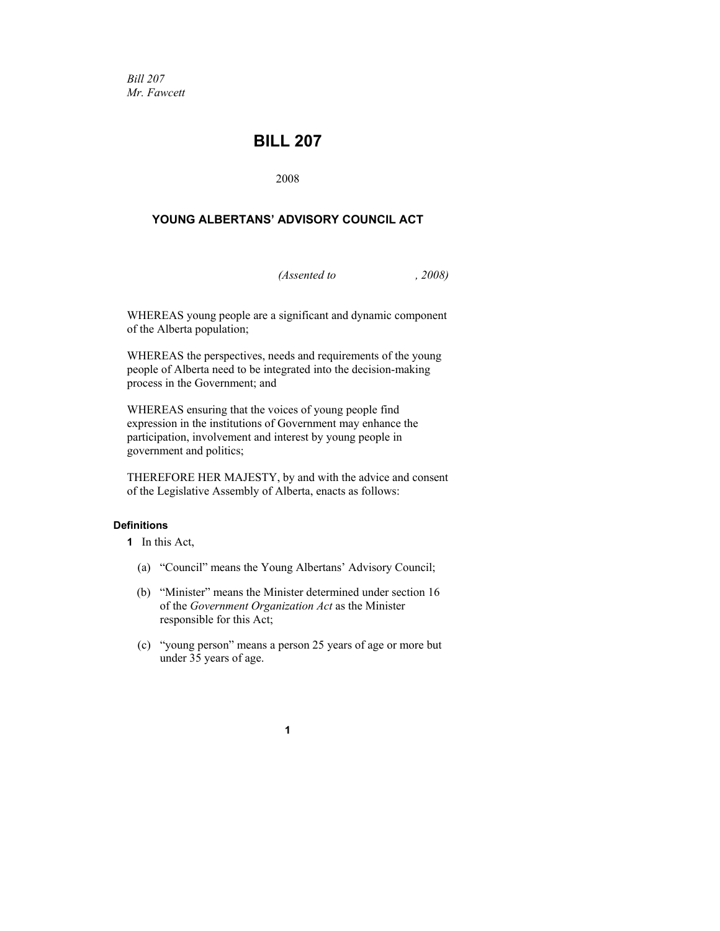*Bill 207 Mr. Fawcett* 

## **BILL 207**

2008

## **YOUNG ALBERTANS' ADVISORY COUNCIL ACT**

*(Assented to , 2008)* 

WHEREAS young people are a significant and dynamic component of the Alberta population;

WHEREAS the perspectives, needs and requirements of the young people of Alberta need to be integrated into the decision-making process in the Government; and

WHEREAS ensuring that the voices of young people find expression in the institutions of Government may enhance the participation, involvement and interest by young people in government and politics;

THEREFORE HER MAJESTY, by and with the advice and consent of the Legislative Assembly of Alberta, enacts as follows:

#### **Definitions**

**1** In this Act,

- (a) "Council" means the Young Albertans' Advisory Council;
- (b) "Minister" means the Minister determined under section 16 of the *Government Organization Act* as the Minister responsible for this Act;
- (c) "young person" means a person 25 years of age or more but under 35 years of age.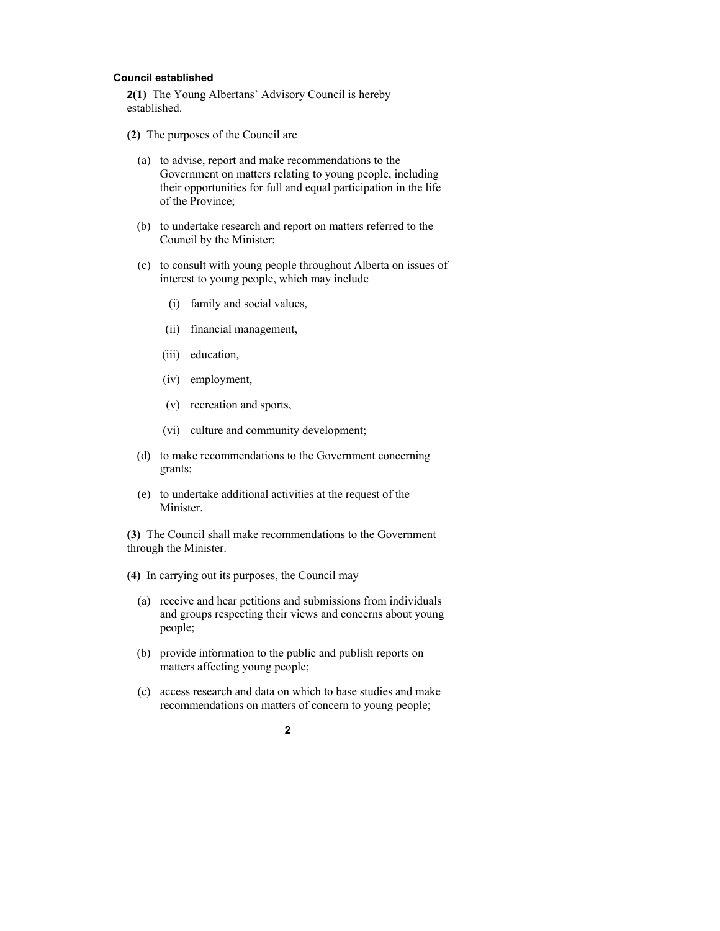#### **Council established**

**2(1)** The Young Albertans' Advisory Council is hereby established.

- **(2)** The purposes of the Council are
	- (a) to advise, report and make recommendations to the Government on matters relating to young people, including their opportunities for full and equal participation in the life of the Province;
	- (b) to undertake research and report on matters referred to the Council by the Minister;
	- (c) to consult with young people throughout Alberta on issues of interest to young people, which may include
		- (i) family and social values,
		- (ii) financial management,
		- (iii) education,
		- (iv) employment,
		- (v) recreation and sports,
		- (vi) culture and community development;
	- (d) to make recommendations to the Government concerning grants;
	- (e) to undertake additional activities at the request of the **Minister**

**(3)** The Council shall make recommendations to the Government through the Minister.

**(4)** In carrying out its purposes, the Council may

- (a) receive and hear petitions and submissions from individuals and groups respecting their views and concerns about young people;
- (b) provide information to the public and publish reports on matters affecting young people;
- (c) access research and data on which to base studies and make recommendations on matters of concern to young people;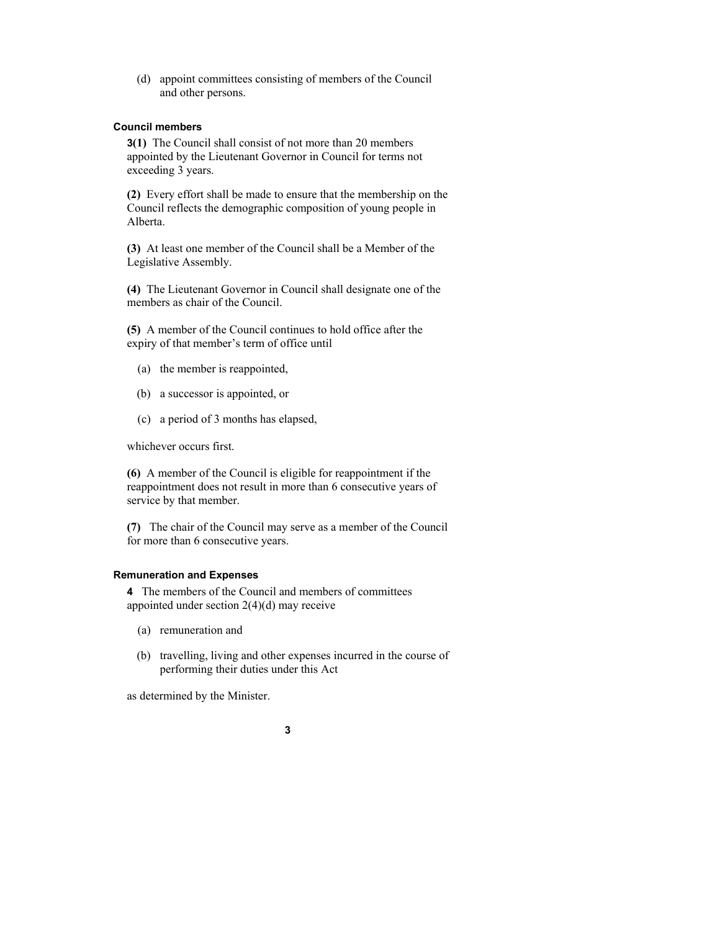(d) appoint committees consisting of members of the Council and other persons.

#### **Council members**

**3(1)** The Council shall consist of not more than 20 members appointed by the Lieutenant Governor in Council for terms not exceeding 3 years.

**(2)** Every effort shall be made to ensure that the membership on the Council reflects the demographic composition of young people in Alberta.

**(3)** At least one member of the Council shall be a Member of the Legislative Assembly.

**(4)** The Lieutenant Governor in Council shall designate one of the members as chair of the Council.

**(5)** A member of the Council continues to hold office after the expiry of that member's term of office until

- (a) the member is reappointed,
- (b) a successor is appointed, or
- (c) a period of 3 months has elapsed,

whichever occurs first.

**(6)** A member of the Council is eligible for reappointment if the reappointment does not result in more than 6 consecutive years of service by that member.

**(7)** The chair of the Council may serve as a member of the Council for more than 6 consecutive years.

#### **Remuneration and Expenses**

**4** The members of the Council and members of committees appointed under section 2(4)(d) may receive

- (a) remuneration and
- (b) travelling, living and other expenses incurred in the course of performing their duties under this Act

as determined by the Minister.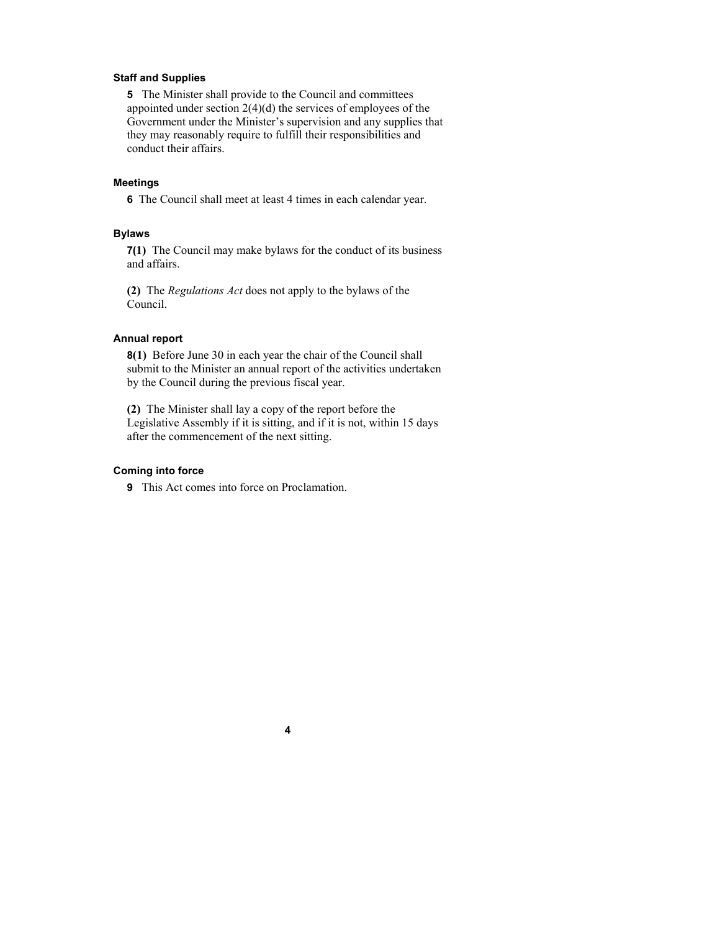#### **Staff and Supplies**

**5** The Minister shall provide to the Council and committees appointed under section 2(4)(d) the services of employees of the Government under the Minister's supervision and any supplies that they may reasonably require to fulfill their responsibilities and conduct their affairs.

#### **Meetings**

**6** The Council shall meet at least 4 times in each calendar year.

#### **Bylaws**

**7(1)** The Council may make bylaws for the conduct of its business and affairs.

**(2)** The *Regulations Act* does not apply to the bylaws of the Council.

#### **Annual report**

**8(1)** Before June 30 in each year the chair of the Council shall submit to the Minister an annual report of the activities undertaken by the Council during the previous fiscal year.

**(2)** The Minister shall lay a copy of the report before the Legislative Assembly if it is sitting, and if it is not, within 15 days after the commencement of the next sitting.

#### **Coming into force**

**9** This Act comes into force on Proclamation.